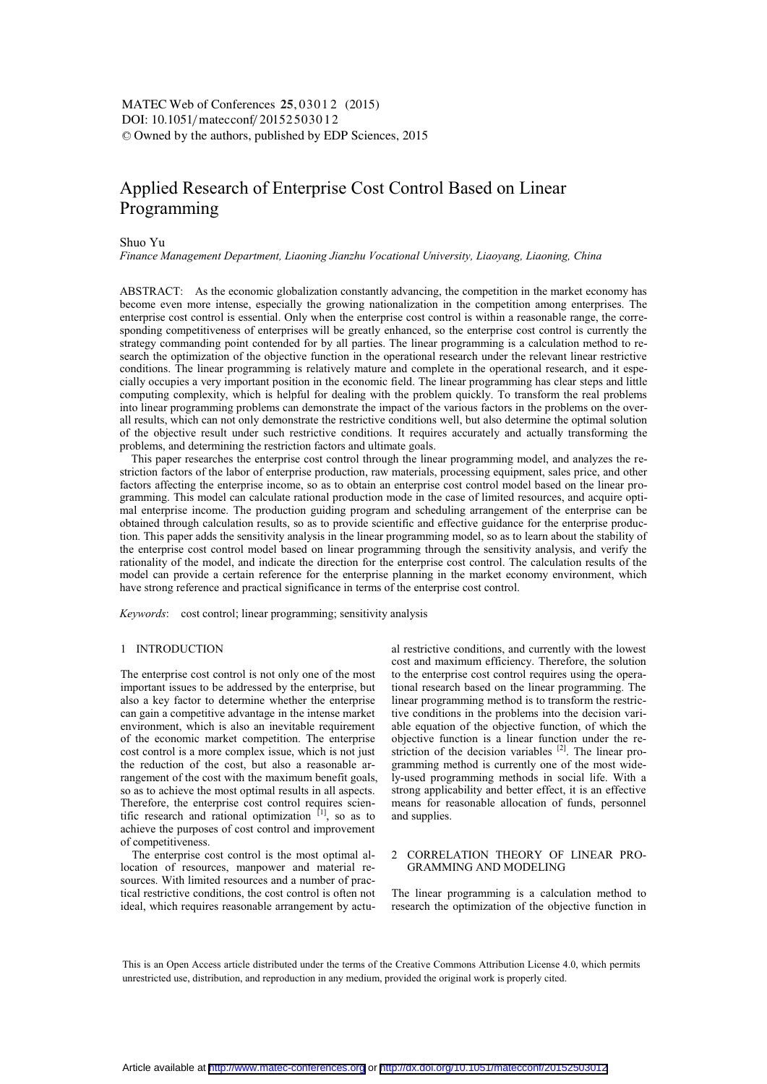DOI: 10.1051/matecconf/20152503012 -<sup>C</sup> Owned by the authors, published by EDP Sciences, 2015 MATEC Web of Conferences 25, 03012 (2015)

# Applied Research of Enterprise Cost Control Based on Linear Programming

# Shuo Yu

*Finance Management Department, Liaoning Jianzhu Vocational University, Liaoyang, Liaoning, China* 

ABSTRACT: As the economic globalization constantly advancing, the competition in the market economy has become even more intense, especially the growing nationalization in the competition among enterprises. The enterprise cost control is essential. Only when the enterprise cost control is within a reasonable range, the corresponding competitiveness of enterprises will be greatly enhanced, so the enterprise cost control is currently the strategy commanding point contended for by all parties. The linear programming is a calculation method to research the optimization of the objective function in the operational research under the relevant linear restrictive conditions. The linear programming is relatively mature and complete in the operational research, and it especially occupies a very important position in the economic field. The linear programming has clear steps and little computing complexity, which is helpful for dealing with the problem quickly. To transform the real problems into linear programming problems can demonstrate the impact of the various factors in the problems on the overall results, which can not only demonstrate the restrictive conditions well, but also determine the optimal solution of the objective result under such restrictive conditions. It requires accurately and actually transforming the problems, and determining the restriction factors and ultimate goals.

This paper researches the enterprise cost control through the linear programming model, and analyzes the restriction factors of the labor of enterprise production, raw materials, processing equipment, sales price, and other factors affecting the enterprise income, so as to obtain an enterprise cost control model based on the linear programming. This model can calculate rational production mode in the case of limited resources, and acquire optimal enterprise income. The production guiding program and scheduling arrangement of the enterprise can be obtained through calculation results, so as to provide scientific and effective guidance for the enterprise production. This paper adds the sensitivity analysis in the linear programming model, so as to learn about the stability of the enterprise cost control model based on linear programming through the sensitivity analysis, and verify the rationality of the model, and indicate the direction for the enterprise cost control. The calculation results of the model can provide a certain reference for the enterprise planning in the market economy environment, which have strong reference and practical significance in terms of the enterprise cost control.

*Keywords*: cost control; linear programming; sensitivity analysis

#### 1 INTRODUCTION

The enterprise cost control is not only one of the most important issues to be addressed by the enterprise, but also a key factor to determine whether the enterprise can gain a competitive advantage in the intense market environment, which is also an inevitable requirement of the economic market competition. The enterprise cost control is a more complex issue, which is not just the reduction of the cost, but also a reasonable arrangement of the cost with the maximum benefit goals, so as to achieve the most optimal results in all aspects. Therefore, the enterprise cost control requires scientific research and rational optimization  $\begin{bmatrix} 1 \end{bmatrix}$ , so as to achieve the purposes of cost control and improvement of competitiveness.

The enterprise cost control is the most optimal allocation of resources, manpower and material resources. With limited resources and a number of practical restrictive conditions, the cost control is often not ideal, which requires reasonable arrangement by actual restrictive conditions, and currently with the lowest cost and maximum efficiency. Therefore, the solution to the enterprise cost control requires using the operational research based on the linear programming. The linear programming method is to transform the restrictive conditions in the problems into the decision variable equation of the objective function, of which the objective function is a linear function under the restriction of the decision variables  $[2]$ . The linear programming method is currently one of the most widely-used programming methods in social life. With a strong applicability and better effect, it is an effective means for reasonable allocation of funds, personnel and supplies.

## 2 CORRELATION THEORY OF LINEAR PRO-GRAMMING AND MODELING

The linear programming is a calculation method to research the optimization of the objective function in

This is an Open Access article distributed under the terms of the Creative Commons Attribution License 4.0, which permits unrestricted use, distribution, and reproduction in any medium, provided the original work is properly cited.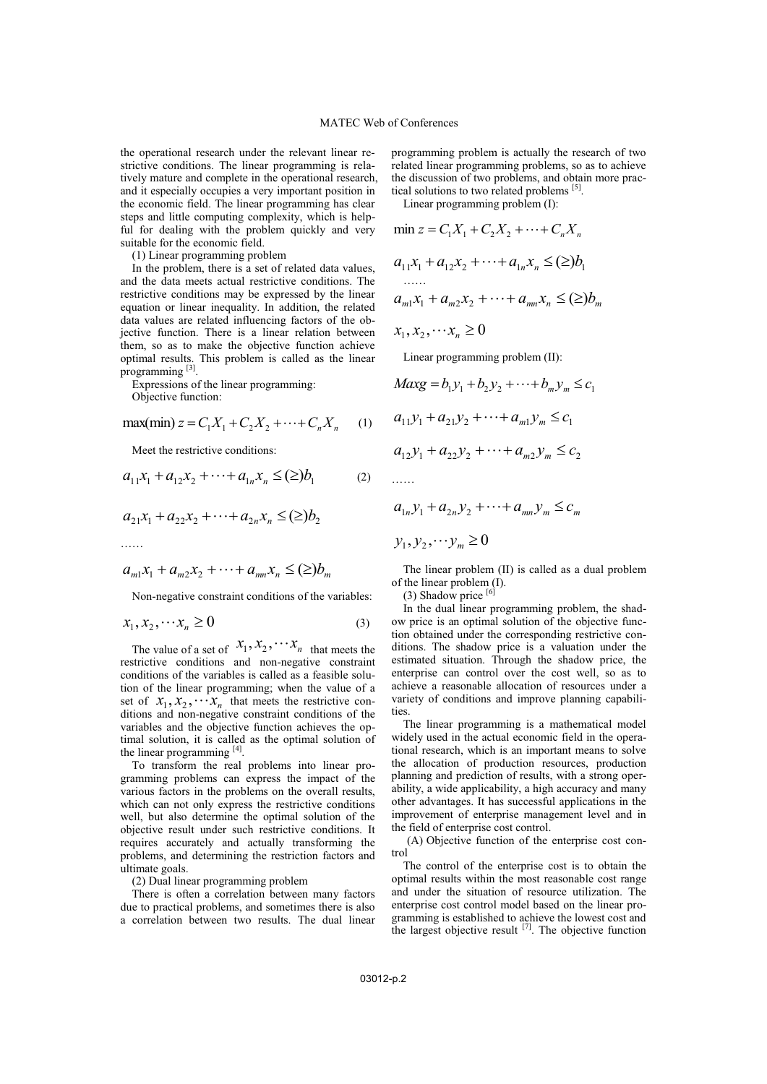the operational research under the relevant linear restrictive conditions. The linear programming is relatively mature and complete in the operational research, and it especially occupies a very important position in the economic field. The linear programming has clear steps and little computing complexity, which is helpful for dealing with the problem quickly and very suitable for the economic field.

(1) Linear programming problem

In the problem, there is a set of related data values, and the data meets actual restrictive conditions. The restrictive conditions may be expressed by the linear equation or linear inequality. In addition, the related data values are related influencing factors of the objective function. There is a linear relation between them, so as to make the objective function achieve optimal results. This problem is called as the linear programming [3].

Expressions of the linear programming:

Objective function:

$$
\max(\min) z = C_1 X_1 + C_2 X_2 + \dots + C_n X_n \quad (1)
$$

Meet the restrictive conditions:

$$
a_{11}x_1 + a_{12}x_2 + \dots + a_{1n}x_n \leq (\geq) b_1 \tag{2}
$$

$$
a_{21}x_1 + a_{22}x_2 + \cdots + a_{2n}x_n \leq (\geq) b_2
$$

……

$$
a_{m1}x_1 + a_{m2}x_2 + \cdots + a_{mn}x_n \leq (\geq) b_m
$$

Non-negative constraint conditions of the variables:

$$
x_1, x_2, \dots x_n \ge 0 \tag{3}
$$

The value of a set of  $x_1, x_2, \cdots x_n$  that meets the restrictive conditions and non-negative constraint conditions of the variables is called as a feasible solution of the linear programming; when the value of a set of  $x_1, x_2, \cdots x_n$  that meets the restrictive conditions and non-negative constraint conditions of the variables and the objective function achieves the optimal solution, it is called as the optimal solution of the linear programming [4].

To transform the real problems into linear programming problems can express the impact of the various factors in the problems on the overall results, which can not only express the restrictive conditions well, but also determine the optimal solution of the objective result under such restrictive conditions. It requires accurately and actually transforming the problems, and determining the restriction factors and ultimate goals.

(2) Dual linear programming problem

There is often a correlation between many factors due to practical problems, and sometimes there is also a correlation between two results. The dual linear programming problem is actually the research of two related linear programming problems, so as to achieve the discussion of two problems, and obtain more practical solutions to two related problems [5].

 $\sim$ 

Linear programming problem (I):

$$
\min z = C_1 X_1 + C_2 X_2 + \dots + C_n X_n
$$
  
\n
$$
a_{11}x_1 + a_{12}x_2 + \dots + a_{1n}x_n \leq (\geq) b_1
$$
  
\n
$$
\dots
$$
  
\n
$$
a_{m1}x_1 + a_{m2}x_2 + \dots + a_{mn}x_n \leq (\geq) b_m
$$
  
\n
$$
x_1, x_2, \dots x_n \geq 0
$$
  
\nLinear programming problem (II):  
\n
$$
Maxg = b_1 y_1 + b_2 y_2 + \dots + b_m y_m \leq c_1
$$
  
\n
$$
a_{11}y_1 + a_{21}y_2 + \dots + a_{m1}y_m \leq c_1
$$
  
\n
$$
a_{12}y_1 + a_{22}y_2 + \dots + a_{m2}y_m \leq c_2
$$

……

$$
a_{1n}y_1 + a_{2n}y_2 + \dots + a_{mn}y_m \le c_m
$$
  

$$
y_1, y_2, \dots y_m \ge 0
$$

The linear problem (II) is called as a dual problem of the linear problem (I).

 $(3)$  Shadow price  $[6]$ 

In the dual linear programming problem, the shadow price is an optimal solution of the objective function obtained under the corresponding restrictive conditions. The shadow price is a valuation under the estimated situation. Through the shadow price, the enterprise can control over the cost well, so as to achieve a reasonable allocation of resources under a variety of conditions and improve planning capabilities

The linear programming is a mathematical model widely used in the actual economic field in the operational research, which is an important means to solve the allocation of production resources, production planning and prediction of results, with a strong operability, a wide applicability, a high accuracy and many other advantages. It has successful applications in the improvement of enterprise management level and in the field of enterprise cost control.

(A) Objective function of the enterprise cost control

The control of the enterprise cost is to obtain the optimal results within the most reasonable cost range and under the situation of resource utilization. The enterprise cost control model based on the linear programming is established to achieve the lowest cost and the largest objective result  $^{[7]}$ . The objective function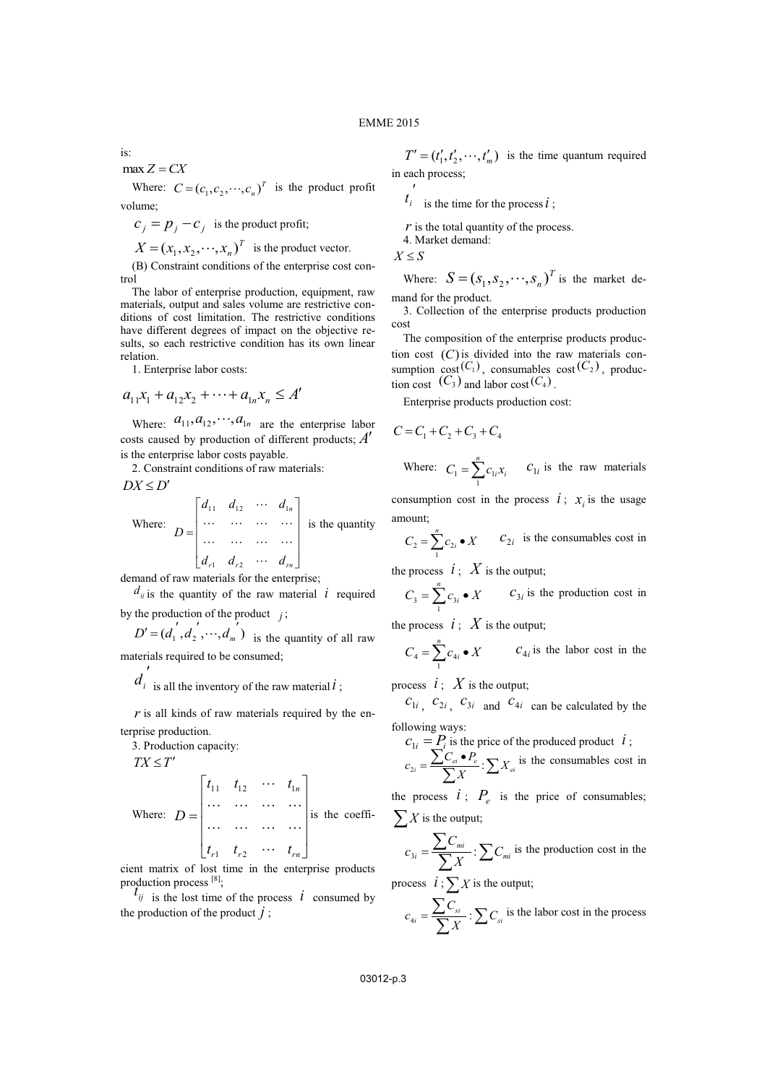is:

$$
\max Z = CX
$$

Where:  $C = (c_1, c_2, \dots, c_n)^T$  is the product profit volume;

 $c_i = p_i - c_i$  is the product profit;

$$
X = (x_1, x_2, \cdots, x_n)^T
$$
 is the product vector.

(B) Constraint conditions of the enterprise cost control

The labor of enterprise production, equipment, raw materials, output and sales volume are restrictive conditions of cost limitation. The restrictive conditions have different degrees of impact on the objective results, so each restrictive condition has its own linear relation.

1. Enterprise labor costs:

$$
a_{11}x_1 + a_{12}x_2 + \cdots + a_{1n}x_n \le A'
$$

Where:  $a_{11}, a_{12}, \dots, a_{1n}$  are the enterprise labor costs caused by production of different products; *A* is the enterprise labor costs payable.

2. Constraint conditions of raw materials:

$$
DX \le D'
$$
  
Where: 
$$
D = \begin{bmatrix} d_{11} & d_{12} & \cdots & d_{1n} \\ \cdots & \cdots & \cdots & \cdots \\ \cdots & \cdots & \cdots & \cdots \\ d_{r1} & d_{r2} & \cdots & d_{rn} \end{bmatrix}
$$
 is the quantity

demand of raw materials for the enterprise;

 $d_{ij}$  is the quantity of the raw material *i* required by the production of the product  $j$ ;

 $D' = (d_1', d_2', \dots, d_m')$  is the quantity of all raw materials required to be consumed;

 $d_i$  is all the inventory of the raw material  $i$ ;

 $r$  is all kinds of raw materials required by the enterprise production.

3. Production capacity:

 $TX \leq T'$ 

Where:

\n
$$
D = \begin{bmatrix}\n t_{11} & t_{12} & \cdots & t_{1n} \\
 \cdots & \cdots & \cdots & \cdots \\
 \cdots & \cdots & \cdots & \cdots \\
 t_{r1} & t_{r2} & \cdots & t_{rn}\n \end{bmatrix}
$$
\nis the coefficient of the total number of times.

cient matrix of lost time in the enterprise products production process [8];

 $t_{ij}$  is the lost time of the process  $i$  consumed by the production of the product  $j$ ;

 $T' = (t'_1, t'_2, \dots, t'_m)$  is the time quantum required in each process;

 $t_i$  is the time for the process *i*;

*r* is the total quantity of the process.

4. Market demand:

 $X \leq S$ 

 $\overline{\phantom{a}}$ 

Where:  $S = (s_1, s_2, \dots, s_n)^T$  is the market demand for the product.

3. Collection of the enterprise products production cost

The composition of the enterprise products production cost  $(C)$  is divided into the raw materials consumption  $cost(C_1)$ , consumables  $cost(C_2)$ , production cost  $(C_3)$  and labor cost $(C_4)$ .

Enterprise products production cost:

$$
C = C_1 + C_2 + C_3 + C_4
$$

Where: 
$$
C_1 = \sum_{i=1}^{n} c_{1i} x_i
$$
  $C_{1i}$  is the raw materials

consumption cost in the process  $i$ ;  $x_i$  is the usage amount;

$$
C_2 = \sum_{1}^{n} c_{2i} \bullet X \qquad C_{2i} \text{ is the consumables cost in}
$$

the process  $i : X$  is the output;

$$
C_3 = \sum_{1}^{n} c_{3i} \bullet X \qquad C_{3i} \text{ is the production cost in}
$$

the process  $i$ ;  $X$  is the output;

$$
C_4 = \sum_{1}^{n} c_{4i} \bullet X \qquad c_{4i} \text{ is the labor cost in the}
$$

process  $i: X$  is the output;

 $c_{1i}$ ,  $c_{2i}$ ,  $c_{3i}$  and  $c_{4i}$  can be calculated by the following ways:

$$
C_{1i} = P_i
$$
 is the price of the produced product  $i$ ;  

$$
C_{2i} = \frac{\sum C_{ei} \cdot P_e}{\sum X} : \sum X_{ei}
$$
 is the consumables cost in

the process  $i$ ;  $P_e$  is the price of consumables;  $\sum_{i=1}^{n} X_i$  is the output;

$$
c_{3i} = \frac{\sum C_{mi}}{\sum X} : \sum C_{mi} \text{ is the production cost in the}
$$

process  $i$ ;  $\sum X$  is the output;

$$
c_{4i} = \frac{\sum C_{si}}{\sum X} : \sum C_{si}
$$
 is the labor cost in the process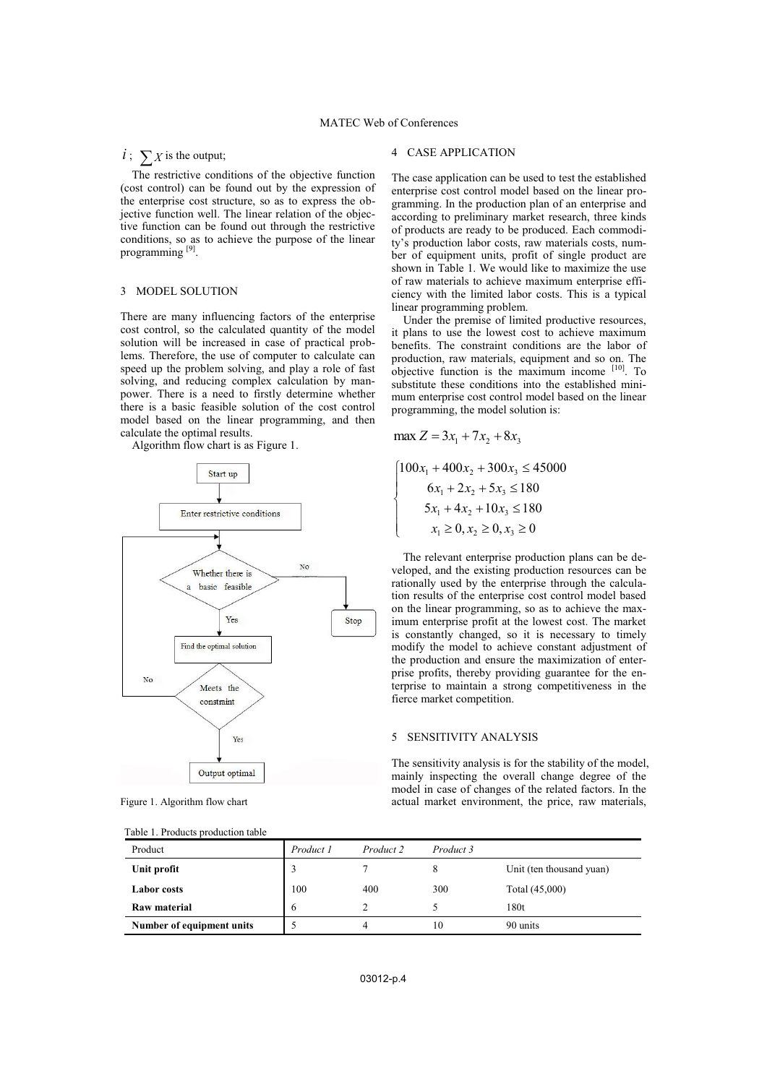# MATEC Web of Conferences

# $i$ ;  $\sum X$  is the output;

The restrictive conditions of the objective function (cost control) can be found out by the expression of the enterprise cost structure, so as to express the objective function well. The linear relation of the objective function can be found out through the restrictive conditions, so as to achieve the purpose of the linear programming<sup>[9]</sup>.

# 3 MODEL SOLUTION

There are many influencing factors of the enterprise cost control, so the calculated quantity of the model solution will be increased in case of practical problems. Therefore, the use of computer to calculate can speed up the problem solving, and play a role of fast solving, and reducing complex calculation by manpower. There is a need to firstly determine whether there is a basic feasible solution of the cost control model based on the linear programming, and then calculate the optimal results.

Algorithm flow chart is as Figure 1.



Figure 1. Algorithm flow chart

|  |  | Table 1. Products production table |  |
|--|--|------------------------------------|--|
|--|--|------------------------------------|--|

#### 4 CASE APPLICATION

The case application can be used to test the established enterprise cost control model based on the linear programming. In the production plan of an enterprise and according to preliminary market research, three kinds of products are ready to be produced. Each commodity's production labor costs, raw materials costs, number of equipment units, profit of single product are shown in Table 1. We would like to maximize the use of raw materials to achieve maximum enterprise efficiency with the limited labor costs. This is a typical linear programming problem.

Under the premise of limited productive resources, it plans to use the lowest cost to achieve maximum benefits. The constraint conditions are the labor of production, raw materials, equipment and so on. The objective function is the maximum income [10]. To substitute these conditions into the established minimum enterprise cost control model based on the linear programming, the model solution is:

$$
\max Z = 3x_1 + 7x_2 + 8x_3
$$

$$
\begin{cases}\n100x_1 + 400x_2 + 300x_3 \le 45000 \\
6x_1 + 2x_2 + 5x_3 \le 180 \\
5x_1 + 4x_2 + 10x_3 \le 180 \\
x_1 \ge 0, x_2 \ge 0, x_3 \ge 0\n\end{cases}
$$

The relevant enterprise production plans can be developed, and the existing production resources can be rationally used by the enterprise through the calculation results of the enterprise cost control model based on the linear programming, so as to achieve the maximum enterprise profit at the lowest cost. The market is constantly changed, so it is necessary to timely modify the model to achieve constant adjustment of the production and ensure the maximization of enterprise profits, thereby providing guarantee for the enterprise to maintain a strong competitiveness in the fierce market competition.

### 5 SENSITIVITY ANALYSIS

The sensitivity analysis is for the stability of the model, mainly inspecting the overall change degree of the model in case of changes of the related factors. In the actual market environment, the price, raw materials,

| Product                   | Product 1 | Product 2 | Product 3 |                          |
|---------------------------|-----------|-----------|-----------|--------------------------|
| Unit profit               | 3         |           |           | Unit (ten thousand yuan) |
| <b>Labor</b> costs        | 100       | 400       | 300       | Total (45,000)           |
| Raw material              | 6         | ↑         |           | 180t                     |
| Number of equipment units |           | 4         | 10        | 90 units                 |